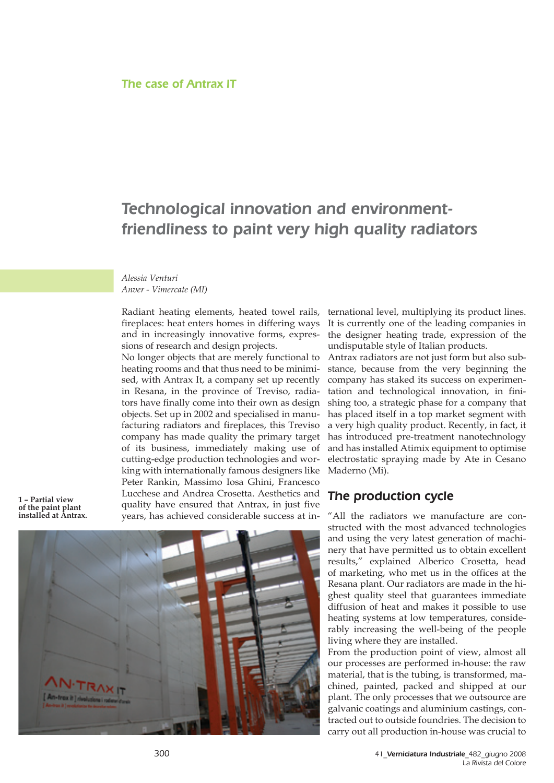## Technological innovation and environmentfriendliness to paint very high quality radiators

*Alessia Venturi Anver - Vimercate (MI)*

Radiant heating elements, heated towel rails, fireplaces: heat enters homes in differing ways and in increasingly innovative forms, expressions of research and design projects.

No longer objects that are merely functional to heating rooms and that thus need to be minimised, with Antrax It, a company set up recently in Resana, in the province of Treviso, radiators have finally come into their own as design objects. Set up in 2002 and specialised in manufacturing radiators and fireplaces, this Treviso company has made quality the primary target of its business, immediately making use of cutting-edge production technologies and working with internationally famous designers like Peter Rankin, Massimo Iosa Ghini, Francesco Lucchese and Andrea Crosetta. Aesthetics and quality have ensured that Antrax, in just five years, has achieved considerable success at in-

**1 – Partial view of the paint plant installed at Antrax.**



ternational level, multiplying its product lines. It is currently one of the leading companies in the designer heating trade, expression of the undisputable style of Italian products.

Antrax radiators are not just form but also substance, because from the very beginning the company has staked its success on experimentation and technological innovation, in finishing too, a strategic phase for a company that has placed itself in a top market segment with a very high quality product. Recently, in fact, it has introduced pre-treatment nanotechnology and has installed Atimix equipment to optimise electrostatic spraying made by Ate in Cesano Maderno (Mi).

## The production cycle

"All the radiators we manufacture are constructed with the most advanced technologies and using the very latest generation of machinery that have permitted us to obtain excellent results," explained Alberico Crosetta, head of marketing, who met us in the offices at the Resana plant. Our radiators are made in the highest quality steel that guarantees immediate diffusion of heat and makes it possible to use heating systems at low temperatures, considerably increasing the well-being of the people living where they are installed.

From the production point of view, almost all our processes are performed in-house: the raw material, that is the tubing, is transformed, machined, painted, packed and shipped at our plant. The only processes that we outsource are galvanic coatings and aluminium castings, contracted out to outside foundries. The decision to carry out all production in-house was crucial to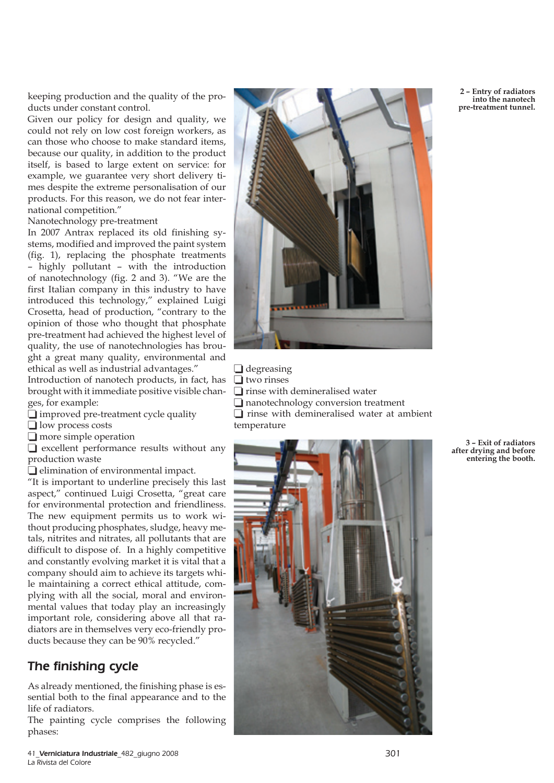keeping production and the quality of the products under constant control.

Given our policy for design and quality, we could not rely on low cost foreign workers, as can those who choose to make standard items, because our quality, in addition to the product itself, is based to large extent on service: for example, we guarantee very short delivery times despite the extreme personalisation of our products. For this reason, we do not fear international competition."

Nanotechnology pre-treatment

In 2007 Antrax replaced its old finishing systems, modified and improved the paint system (fig. 1), replacing the phosphate treatments – highly pollutant – with the introduction of nanotechnology (fig. 2 and 3). "We are the first Italian company in this industry to have introduced this technology," explained Luigi Crosetta, head of production, "contrary to the opinion of those who thought that phosphate pre-treatment had achieved the highest level of quality, the use of nanotechnologies has brought a great many quality, environmental and ethical as well as industrial advantages."

Introduction of nanotech products, in fact, has brought with it immediate positive visible changes, for example:

- $\Box$  improved pre-treatment cycle quality
- $\Box$  low process costs
- $\Box$  more simple operation

 $\Box$  excellent performance results without any production waste

 $\Box$  elimination of environmental impact.

"It is important to underline precisely this last aspect," continued Luigi Crosetta, "great care for environmental protection and friendliness. The new equipment permits us to work without producing phosphates, sludge, heavy metals, nitrites and nitrates, all pollutants that are difficult to dispose of. In a highly competitive and constantly evolving market it is vital that a company should aim to achieve its targets while maintaining a correct ethical attitude, complying with all the social, moral and environmental values that today play an increasingly important role, considering above all that radiators are in themselves very eco-friendly products because they can be 90% recycled."

## The finishing cycle

As already mentioned, the finishing phase is essential both to the final appearance and to the life of radiators.

The painting cycle comprises the following phases:



 $\Box$  degreasing  $\Box$  two rinses  $\Box$  rinse with demineralised water  $\Box$  nanotechnology conversion treatment  $\Box$  rinse with demineralised water at ambient temperature



**2 – Entry of radiators into the nanotech pre-treatment tunnel.**

**3 – Exit of radiators after drying and before entering the booth.**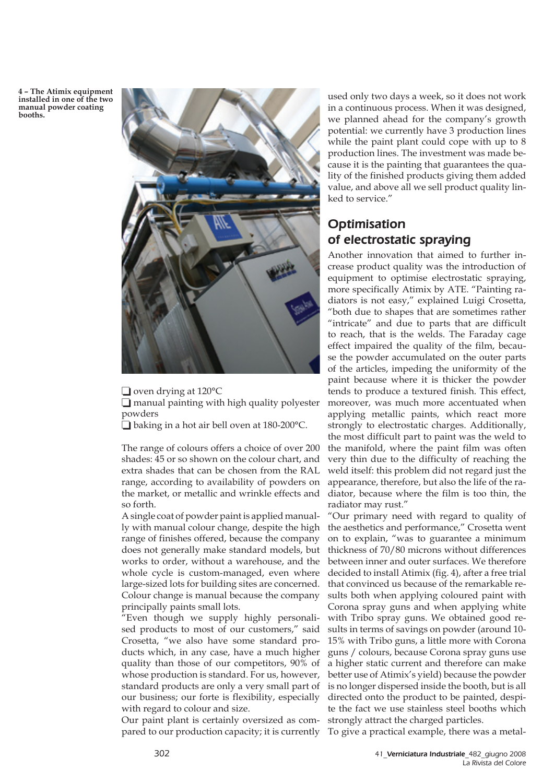**4 – The Atimix equipment installed in one of the two manual powder coating booths.**



 $\Box$  oven drying at 120 $\degree$ C

 $\Box$  manual painting with high quality polyester powders

 $\Box$  baking in a hot air bell oven at 180-200 °C.

The range of colours offers a choice of over 200 shades: 45 or so shown on the colour chart, and extra shades that can be chosen from the RAL range, according to availability of powders on the market, or metallic and wrinkle effects and so forth.

A single coat of powder paint is applied manually with manual colour change, despite the high range of finishes offered, because the company does not generally make standard models, but works to order, without a warehouse, and the whole cycle is custom-managed, even where large-sized lots for building sites are concerned. Colour change is manual because the company principally paints small lots.

"Even though we supply highly personalised products to most of our customers," said Crosetta, "we also have some standard products which, in any case, have a much higher quality than those of our competitors, 90% of whose production is standard. For us, however, standard products are only a very small part of our business; our forte is flexibility, especially with regard to colour and size.

Our paint plant is certainly oversized as compared to our production capacity; it is currently To give a practical example, there was a metal-

used only two days a week, so it does not work in a continuous process. When it was designed, we planned ahead for the company's growth potential: we currently have 3 production lines while the paint plant could cope with up to 8 production lines. The investment was made because it is the painting that guarantees the quality of the finished products giving them added value, and above all we sell product quality linked to service."

## **Optimisation** of electrostatic spraying

Another innovation that aimed to further increase product quality was the introduction of equipment to optimise electrostatic spraying, more specifically Atimix by ATE. "Painting radiators is not easy," explained Luigi Crosetta, "both due to shapes that are sometimes rather "intricate" and due to parts that are difficult to reach, that is the welds. The Faraday cage effect impaired the quality of the film, because the powder accumulated on the outer parts of the articles, impeding the uniformity of the paint because where it is thicker the powder tends to produce a textured finish. This effect, moreover, was much more accentuated when applying metallic paints, which react more strongly to electrostatic charges. Additionally, the most difficult part to paint was the weld to the manifold, where the paint film was often very thin due to the difficulty of reaching the weld itself: this problem did not regard just the appearance, therefore, but also the life of the radiator, because where the film is too thin, the radiator may rust."

"Our primary need with regard to quality of the aesthetics and performance," Crosetta went on to explain, "was to guarantee a minimum thickness of 70/80 microns without differences between inner and outer surfaces. We therefore decided to install Atimix (fig. 4), after a free trial that convinced us because of the remarkable results both when applying coloured paint with Corona spray guns and when applying white with Tribo spray guns. We obtained good results in terms of savings on powder (around 10- 15% with Tribo guns, a little more with Corona guns / colours, because Corona spray guns use a higher static current and therefore can make better use of Atimix's yield) because the powder is no longer dispersed inside the booth, but is all directed onto the product to be painted, despite the fact we use stainless steel booths which strongly attract the charged particles.